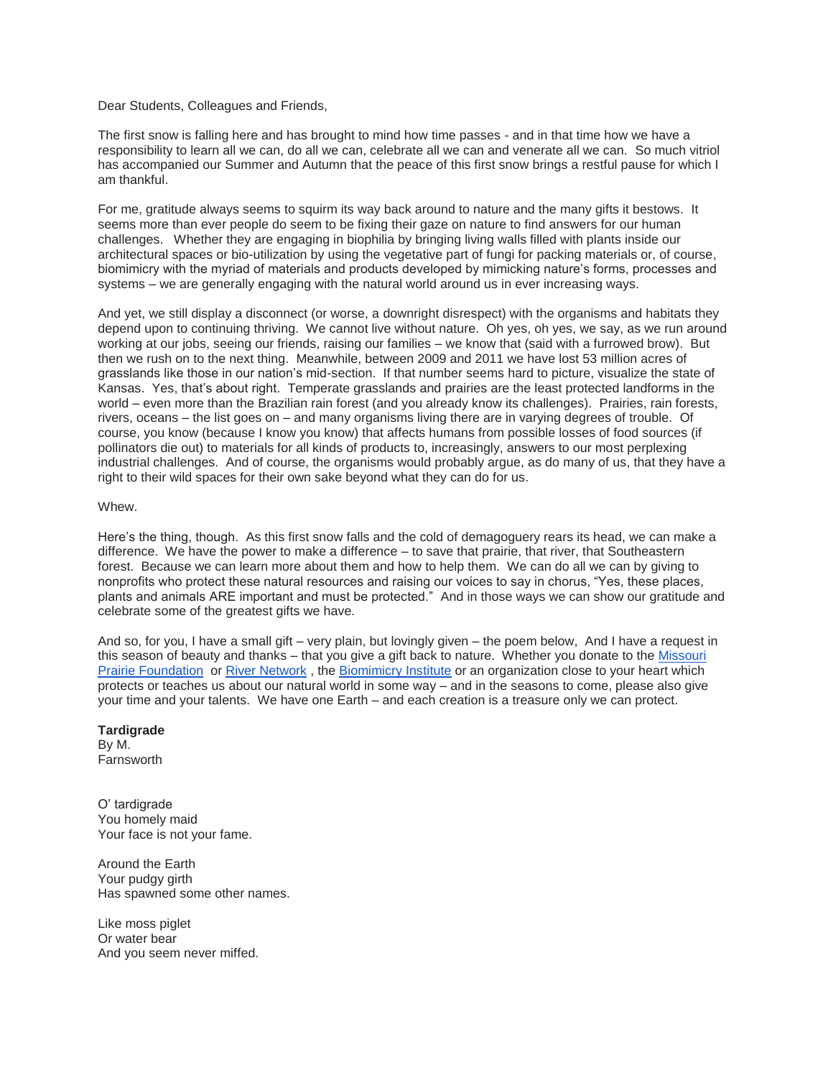Dear Students, Colleagues and Friends,

The first snow is falling here and has brought to mind how time passes - and in that time how we have a responsibility to learn all we can, do all we can, celebrate all we can and venerate all we can. So much vitriol has accompanied our Summer and Autumn that the peace of this first snow brings a restful pause for which I am thankful.

For me, gratitude always seems to squirm its way back around to nature and the many gifts it bestows. It seems more than ever people do seem to be fixing their gaze on nature to find answers for our human challenges. Whether they are engaging in biophilia by bringing living walls filled with plants inside our architectural spaces or bio-utilization by using the vegetative part of fungi for packing materials or, of course, biomimicry with the myriad of materials and products developed by mimicking nature's forms, processes and systems – we are generally engaging with the natural world around us in ever increasing ways.

And yet, we still display a disconnect (or worse, a downright disrespect) with the organisms and habitats they depend upon to continuing thriving. We cannot live without nature. Oh yes, oh yes, we say, as we run around working at our jobs, seeing our friends, raising our families – we know that (said with a furrowed brow). But then we rush on to the next thing. Meanwhile, between 2009 and 2011 we have lost 53 million acres of grasslands like those in our nation's mid-section. If that number seems hard to picture, visualize the state of Kansas. Yes, that's about right. Temperate grasslands and prairies are the least protected landforms in the world – even more than the Brazilian rain forest (and you already know its challenges). Prairies, rain forests, rivers, oceans – the list goes on – and many organisms living there are in varying degrees of trouble. Of course, you know (because I know you know) that affects humans from possible losses of food sources (if pollinators die out) to materials for all kinds of products to, increasingly, answers to our most perplexing industrial challenges. And of course, the organisms would probably argue, as do many of us, that they have a right to their wild spaces for their own sake beyond what they can do for us.

Whew.

Here's the thing, though. As this first snow falls and the cold of demagoguery rears its head, we can make a difference. We have the power to make a difference – to save that prairie, that river, that Southeastern forest. Because we can learn more about them and how to help them. We can do all we can by giving to nonprofits who protect these natural resources and raising our voices to say in chorus, "Yes, these places, plants and animals ARE important and must be protected." And in those ways we can show our gratitude and celebrate some of the greatest gifts we have.

And so, for you, I have a small gift – very plain, but lovingly given – the poem below, And I have a request in this season of beauty and thanks – that you give a gift back to nature. Whether you donate to the [Missouri](http://www.moprairie.org/become-a-member/donate/)  [Prairie Foundation](http://www.moprairie.org/become-a-member/donate/) or [River Network](https://www.rivernetwork.org/donate/), the [Biomimicry Institute](https://biomimicry.org/shop/donate/) or an organization close to your heart which protects or teaches us about our natural world in some way – and in the seasons to come, please also give your time and your talents. We have one Earth – and each creation is a treasure only we can protect.

**Tardigrade**  By M. **Farnsworth** 

O' tardigrade You homely maid Your face is not your fame.

Around the Earth Your pudgy girth Has spawned some other names.

Like moss piglet Or water bear And you seem never miffed.